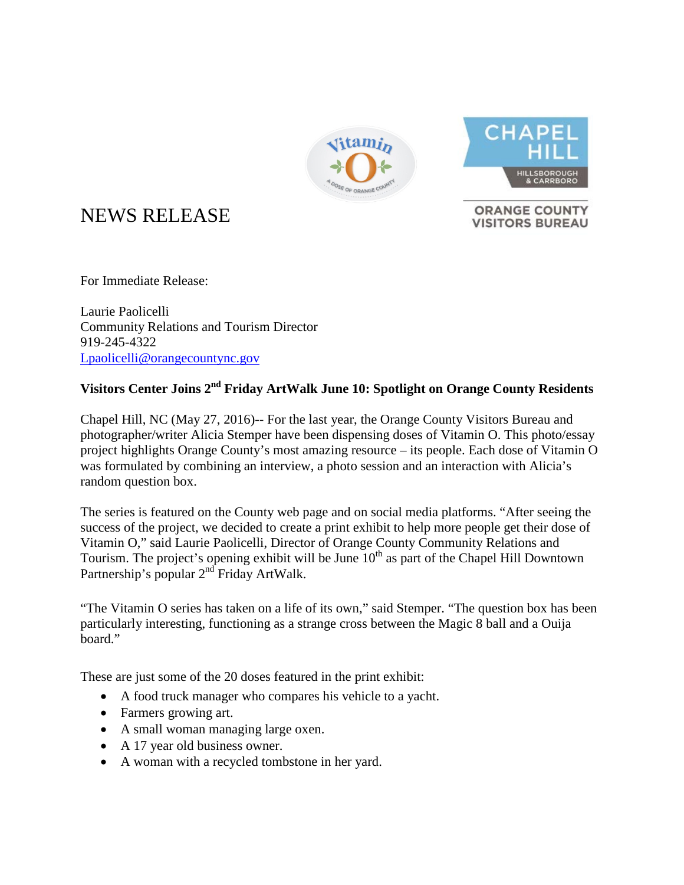



**ORANGE COUNTY VISITORS BUREAU** 

## NEWS RELEASE

For Immediate Release:

Laurie Paolicelli Community Relations and Tourism Director 919-245-4322 [Lpaolicelli@orangecountync.gov](mailto:Lpaolicelli@orangecountync.gov)

## **Visitors Center Joins 2nd Friday ArtWalk June 10: Spotlight on Orange County Residents**

Chapel Hill, NC (May 27, 2016)-- For the last year, the Orange County Visitors Bureau and photographer/writer Alicia Stemper have been dispensing doses of Vitamin O. This photo/essay project highlights Orange County's most amazing resource – its people. Each dose of Vitamin O was formulated by combining an interview, a photo session and an interaction with Alicia's random question box.

The series is featured on the County web page and on social media platforms. "After seeing the success of the project, we decided to create a print exhibit to help more people get their dose of Vitamin O," said Laurie Paolicelli, Director of Orange County Community Relations and Tourism. The project's opening exhibit will be June  $10<sup>th</sup>$  as part of the Chapel Hill Downtown Partnership's popular 2<sup>nd</sup> Friday ArtWalk.

"The Vitamin O series has taken on a life of its own," said Stemper. "The question box has been particularly interesting, functioning as a strange cross between the Magic 8 ball and a Ouija board."

These are just some of the 20 doses featured in the print exhibit:

- A food truck manager who compares his vehicle to a yacht.
- Farmers growing art.
- A small woman managing large oxen.
- A 17 year old business owner.
- A woman with a recycled tombstone in her yard.